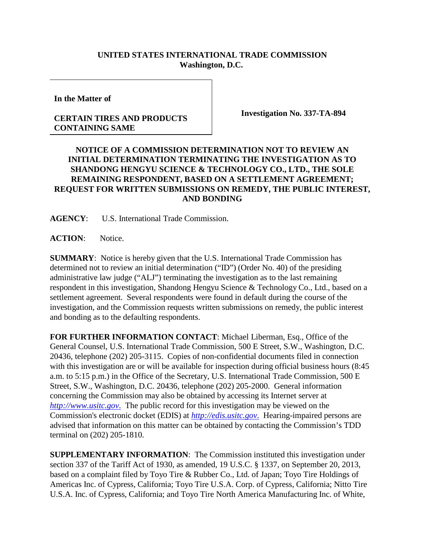## **UNITED STATES INTERNATIONAL TRADE COMMISSION Washington, D.C.**

**In the Matter of**

## **CERTAIN TIRES AND PRODUCTS CONTAINING SAME**

**Investigation No. 337-TA-894**

## **NOTICE OF A COMMISSION DETERMINATION NOT TO REVIEW AN INITIAL DETERMINATION TERMINATING THE INVESTIGATION AS TO SHANDONG HENGYU SCIENCE & TECHNOLOGY CO., LTD., THE SOLE REMAINING RESPONDENT, BASED ON A SETTLEMENT AGREEMENT; REQUEST FOR WRITTEN SUBMISSIONS ON REMEDY, THE PUBLIC INTEREST, AND BONDING**

**AGENCY**: U.S. International Trade Commission.

**ACTION**: Notice.

**SUMMARY**: Notice is hereby given that the U.S. International Trade Commission has determined not to review an initial determination ("ID") (Order No. 40) of the presiding administrative law judge ("ALJ") terminating the investigation as to the last remaining respondent in this investigation, Shandong Hengyu Science & Technology Co., Ltd., based on a settlement agreement. Several respondents were found in default during the course of the investigation, and the Commission requests written submissions on remedy, the public interest and bonding as to the defaulting respondents.

**FOR FURTHER INFORMATION CONTACT**: Michael Liberman, Esq., Office of the General Counsel, U.S. International Trade Commission, 500 E Street, S.W., Washington, D.C. 20436, telephone (202) 205-3115. Copies of non-confidential documents filed in connection with this investigation are or will be available for inspection during official business hours (8:45 a.m. to 5:15 p.m.) in the Office of the Secretary, U.S. International Trade Commission, 500 E Street, S.W., Washington, D.C. 20436, telephone (202) 205-2000. General information concerning the Commission may also be obtained by accessing its Internet server at *[http://www.usitc.gov](http://www.usitc.gov./)*. The public record for this investigation may be viewed on the Commission's electronic docket (EDIS) at *[http://edis.usitc.gov](http://edis.usitc.gov./)*. Hearing-impaired persons are advised that information on this matter can be obtained by contacting the Commission's TDD terminal on (202) 205-1810.

**SUPPLEMENTARY INFORMATION**: The Commission instituted this investigation under section 337 of the Tariff Act of 1930, as amended, 19 U.S.C. § 1337, on September 20, 2013, based on a complaint filed by Toyo Tire & Rubber Co., Ltd. of Japan; Toyo Tire Holdings of Americas Inc. of Cypress, California; Toyo Tire U.S.A. Corp. of Cypress, California; Nitto Tire U.S.A. Inc. of Cypress, California; and Toyo Tire North America Manufacturing Inc. of White,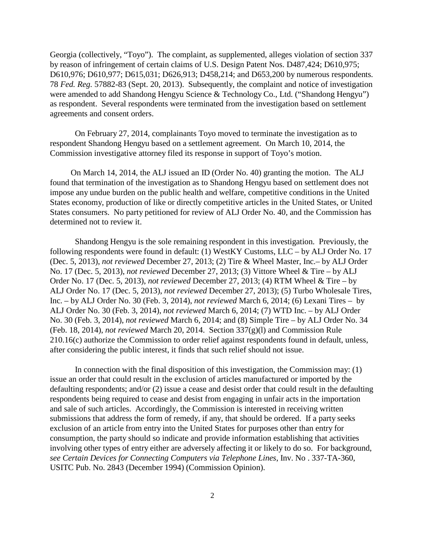Georgia (collectively, "Toyo"). The complaint, as supplemented, alleges violation of section 337 by reason of infringement of certain claims of U.S. Design Patent Nos. D487,424; D610,975; D610,976; D610,977; D615,031; D626,913; D458,214; and D653,200 by numerous respondents. 78 *Fed. Reg.* 57882-83 (Sept. 20, 2013). Subsequently, the complaint and notice of investigation were amended to add Shandong Hengyu Science & Technology Co., Ltd. ("Shandong Hengyu") as respondent. Several respondents were terminated from the investigation based on settlement agreements and consent orders.

On February 27, 2014, complainants Toyo moved to terminate the investigation as to respondent Shandong Hengyu based on a settlement agreement. On March 10, 2014, the Commission investigative attorney filed its response in support of Toyo's motion.

On March 14, 2014, the ALJ issued an ID (Order No. 40) granting the motion. The ALJ found that termination of the investigation as to Shandong Hengyu based on settlement does not impose any undue burden on the public health and welfare, competitive conditions in the United States economy, production of like or directly competitive articles in the United States, or United States consumers. No party petitioned for review of ALJ Order No. 40, and the Commission has determined not to review it.

Shandong Hengyu is the sole remaining respondent in this investigation. Previously, the following respondents were found in default: (1) WestKY Customs, LLC – by ALJ Order No. 17 (Dec. 5, 2013), *not reviewed* December 27, 2013; (2) Tire & Wheel Master, Inc.– by ALJ Order No. 17 (Dec. 5, 2013), *not reviewed* December 27, 2013; (3) Vittore Wheel & Tire – by ALJ Order No. 17 (Dec. 5, 2013), *not reviewed* December 27, 2013; (4) RTM Wheel & Tire – by ALJ Order No. 17 (Dec. 5, 2013), *not reviewed* December 27, 2013); (5) Turbo Wholesale Tires, Inc. – by ALJ Order No. 30 (Feb. 3, 2014), *not reviewed* March 6, 2014; (6) Lexani Tires – by ALJ Order No. 30 (Feb. 3, 2014), *not reviewed* March 6, 2014; (7) WTD Inc. – by ALJ Order No. 30 (Feb. 3, 2014), *not reviewed* March 6, 2014; and (8) Simple Tire – by ALJ Order No. 34 (Feb. 18, 2014), *not reviewed* March 20, 2014. Section 337(g)(l) and Commission Rule 210.16(c) authorize the Commission to order relief against respondents found in default, unless, after considering the public interest, it finds that such relief should not issue.

In connection with the final disposition of this investigation, the Commission may: (1) issue an order that could result in the exclusion of articles manufactured or imported by the defaulting respondents; and/or (2) issue a cease and desist order that could result in the defaulting respondents being required to cease and desist from engaging in unfair acts in the importation and sale of such articles. Accordingly, the Commission is interested in receiving written submissions that address the form of remedy, if any, that should be ordered. If a party seeks exclusion of an article from entry into the United States for purposes other than entry for consumption, the party should so indicate and provide information establishing that activities involving other types of entry either are adversely affecting it or likely to do so. For background, *see Certain Devices for Connecting Computers via Telephone Lines*, Inv. No . 337-TA-360, USITC Pub. No. 2843 (December 1994) (Commission Opinion).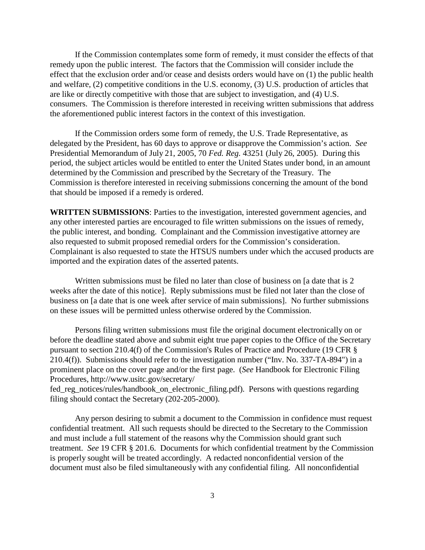If the Commission contemplates some form of remedy, it must consider the effects of that remedy upon the public interest. The factors that the Commission will consider include the effect that the exclusion order and/or cease and desists orders would have on (1) the public health and welfare, (2) competitive conditions in the U.S. economy, (3) U.S. production of articles that are like or directly competitive with those that are subject to investigation, and (4) U.S. consumers. The Commission is therefore interested in receiving written submissions that address the aforementioned public interest factors in the context of this investigation.

If the Commission orders some form of remedy, the U.S. Trade Representative, as delegated by the President, has 60 days to approve or disapprove the Commission's action. *See* Presidential Memorandum of July 21, 2005, 70 *Fed. Reg.* 43251 (July 26, 2005). During this period, the subject articles would be entitled to enter the United States under bond, in an amount determined by the Commission and prescribed by the Secretary of the Treasury. The Commission is therefore interested in receiving submissions concerning the amount of the bond that should be imposed if a remedy is ordered.

**WRITTEN SUBMISSIONS**: Parties to the investigation, interested government agencies, and any other interested parties are encouraged to file written submissions on the issues of remedy, the public interest, and bonding. Complainant and the Commission investigative attorney are also requested to submit proposed remedial orders for the Commission's consideration. Complainant is also requested to state the HTSUS numbers under which the accused products are imported and the expiration dates of the asserted patents.

Written submissions must be filed no later than close of business on [a date that is 2 weeks after the date of this notice]. Reply submissions must be filed not later than the close of business on [a date that is one week after service of main submissions]. No further submissions on these issues will be permitted unless otherwise ordered by the Commission.

Persons filing written submissions must file the original document electronically on or before the deadline stated above and submit eight true paper copies to the Office of the Secretary pursuant to section 210.4(f) of the Commission's Rules of Practice and Procedure (19 CFR § 210.4(f)). Submissions should refer to the investigation number ("Inv. No. 337-TA-894") in a prominent place on the cover page and/or the first page. (*See* Handbook for Electronic Filing Procedures, <http://www.usitc.gov/secretary/>

fed\_reg\_notices/rules/handbook\_on\_electronic\_filing.pdf). Persons with questions regarding filing should contact the Secretary (202-205-2000).

Any person desiring to submit a document to the Commission in confidence must request confidential treatment. All such requests should be directed to the Secretary to the Commission and must include a full statement of the reasons why the Commission should grant such treatment. *See* 19 CFR § 201.6. Documents for which confidential treatment by the Commission is properly sought will be treated accordingly. A redacted nonconfidential version of the document must also be filed simultaneously with any confidential filing. All nonconfidential